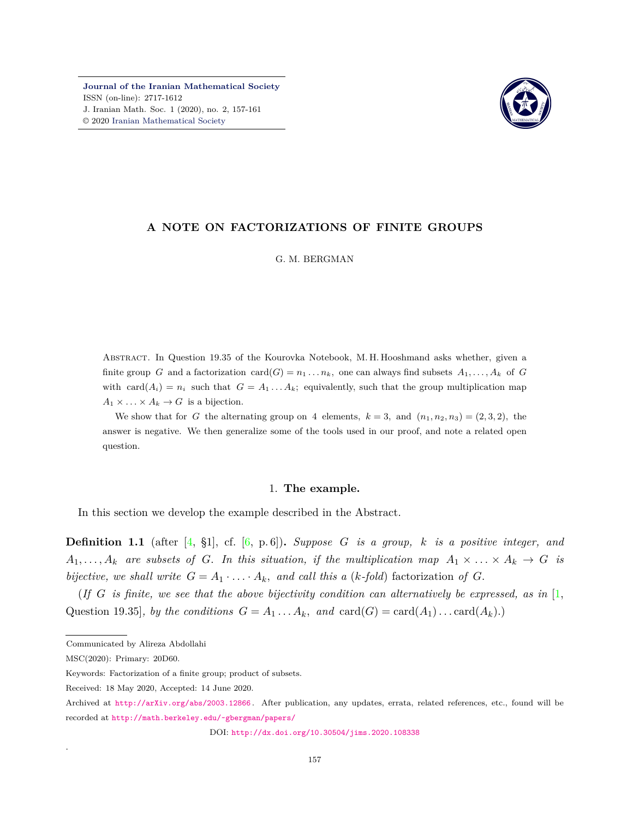**[Journal of the Iranian Mathematical Society](http://jims.iranjournals.ir)** ISSN (on-line): 2717-1612 J. Iranian Math. Soc. 1 (2020), no. 2, 157-161 © 2020 [Iranian Mathematical Society](http://en.ims.ir/)



# **A NOTE ON FACTORIZATIONS OF FINITE GROUPS**

G. M. BERGMAN

Abstract. In Question 19.35 of the Kourovka Notebook, M. H. Hooshmand asks whether, given a finite group *G* and a factorization card(*G*) =  $n_1 \dots n_k$ , one can always find subsets  $A_1, \dots, A_k$  of *G* with  $card(A_i) = n_i$  such that  $G = A_1 \dots A_k$ ; equivalently, such that the group multiplication map  $A_1 \times \ldots \times A_k \to G$  is a bijection.

We show that for *G* the alternating group on 4 elements,  $k = 3$ , and  $(n_1, n_2, n_3) = (2, 3, 2)$ , the answer is negative. We then generalize some of the tools used in our proof, and note a related open question.

## 1. **The example.**

In this section we develop the example described in the Abstract.

**Definition 1.1** (after  $[4, 81]$  $[4, 81]$  $[4, 81]$ , cf.  $[6, p. 6]$  $[6, p. 6]$  $[6, p. 6]$ )**.** *Suppose G is a group, k is a positive integer, and*  $A_1, \ldots, A_k$  are subsets of *G.* In this situation, if the multiplication map  $A_1 \times \ldots \times A_k \to G$  is *bijective, we shall write*  $G = A_1 \cdot \ldots \cdot A_k$ *, and call this a (k-fold)* factorization of G.

(*If*  $G$  *is finite, we see that the above bijectivity condition can alternatively be expressed, as in* [[1](#page-4-2), Question 19.35]*, by the conditions*  $G = A_1 \dots A_k$ *, and*  $card(G) = card(A_1) \dots card(A_k)$ *.*)

.

DOI: <http://dx.doi.org/10.30504/jims.2020.108338>

Communicated by Alireza Abdollahi

MSC(2020): Primary: 20D60.

Keywords: Factorization of a finite group; product of subsets.

Received: 18 May 2020, Accepted: 14 June 2020.

Archived at <http://arXiv.org/abs/2003.12866> . After publication, any updates, errata, related references, etc., found will be recorded at <http://math.berkeley.edu/~gbergman/papers/>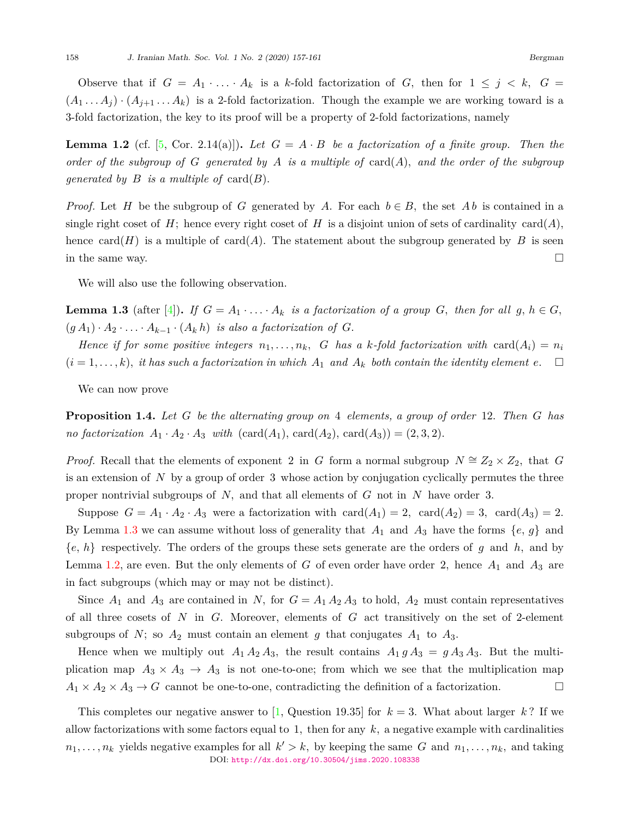Observe that if  $G = A_1 \cdot \ldots \cdot A_k$  is a k-fold factorization of *G*, then for  $1 \leq j \leq k$ ,  $G =$  $(A_1 \ldots A_j) \cdot (A_{j+1} \ldots A_k)$  is a 2-fold factorization. Though the example we are working toward is a 3-fold factorization, the key to its proof will be a property of 2-fold factorizations, namely

<span id="page-1-1"></span>**Lemma 1.2** (cf.  $[5, \text{Cor. 2.14(a)]}$ ). Let  $G = A \cdot B$  be a factorization of a finite group. Then the *order of the subgroup of*  $G$  *generated by*  $A$  *is a multiple of* card $(A)$ *, and the order of the subgroup generated by B is a multiple of* card $(B)$ *.* 

*Proof.* Let *H* be the subgroup of *G* generated by *A*. For each  $b \in B$ , the set *Ab* is contained in a single right coset of *H*; hence every right coset of *H* is a disjoint union of sets of cardinality card(*A*), hence card(*H*) is a multiple of card(*A*). The statement about the subgroup generated by *B* is seen in the same way.  $\Box$ 

We will also use the following observation.

<span id="page-1-0"></span>**Lemma 1.3** (after [[4](#page-4-0)]). If  $G = A_1 \cdot \ldots \cdot A_k$  is a factorization of a group  $G$ , then for all  $g, h \in G$ ,  $(g A_1) \cdot A_2 \cdot \ldots \cdot A_{k-1} \cdot (A_k h)$  *is also a factorization of G.* 

*Hence if for some positive integers*  $n_1, \ldots, n_k$ , G has a k-fold factorization with card $(A_i) = n_i$  $(i = 1, \ldots, k)$ , *it has such a factorization in which*  $A_1$  *and*  $A_k$  *both contain the identity element*  $e$ . □

We can now prove

<span id="page-1-2"></span>**Proposition 1.4.** *Let G be the alternating group on* 4 *elements, a group of order* 12*. Then G has no factorization*  $A_1 \cdot A_2 \cdot A_3$  *with*  $(\text{card}(A_1), \text{card}(A_2), \text{card}(A_3)) = (2, 3, 2)$ *.* 

*Proof.* Recall that the elements of exponent 2 in *G* form a normal subgroup  $N \cong Z_2 \times Z_2$ , that *G* is an extension of *N* by a group of order 3 whose action by conjugation cyclically permutes the three proper nontrivial subgroups of *N,* and that all elements of *G* not in *N* have order 3*.*

Suppose  $G = A_1 \cdot A_2 \cdot A_3$  were a factorization with  $card(A_1) = 2$ ,  $card(A_2) = 3$ ,  $card(A_3) = 2$ . By Lemma [1.3](#page-1-0) we can assume without loss of generality that  $A_1$  and  $A_3$  have the forms  $\{e, g\}$  and *{e, h}* respectively. The orders of the groups these sets generate are the orders of *g* and *h,* and by Lemma [1.2](#page-1-1), are even. But the only elements of *G* of even order have order 2, hence  $A_1$  and  $A_3$  are in fact subgroups (which may or may not be distinct).

Since  $A_1$  and  $A_3$  are contained in *N*, for  $G = A_1 A_2 A_3$  to hold,  $A_2$  must contain representatives of all three cosets of *N* in *G.* Moreover, elements of *G* act transitively on the set of 2-element subgroups of  $N$ ; so  $A_2$  must contain an element  $g$  that conjugates  $A_1$  to  $A_3$ .

Hence when we multiply out  $A_1 A_2 A_3$ , the result contains  $A_1 g A_3 = g A_3 A_3$ . But the multiplication map  $A_3 \times A_3 \to A_3$  is not one-to-one; from which we see that the multiplication map  $A_1 \times A_2 \times A_3 \rightarrow G$  cannot be one-to-one, contradicting the definition of a factorization. □

Thiscompletes our negative answer to [[1](#page-4-2), Question 19.35] for  $k = 3$ . What about larger k? If we allow factorizations with some factors equal to 1*,* then for any *k,* a negative example with cardinalities  $n_1, \ldots, n_k$  yields negative examples for all  $k' > k$ , by keeping the same *G* and  $n_1, \ldots, n_k$ *,* and taking DOI: <http://dx.doi.org/10.30504/jims.2020.108338>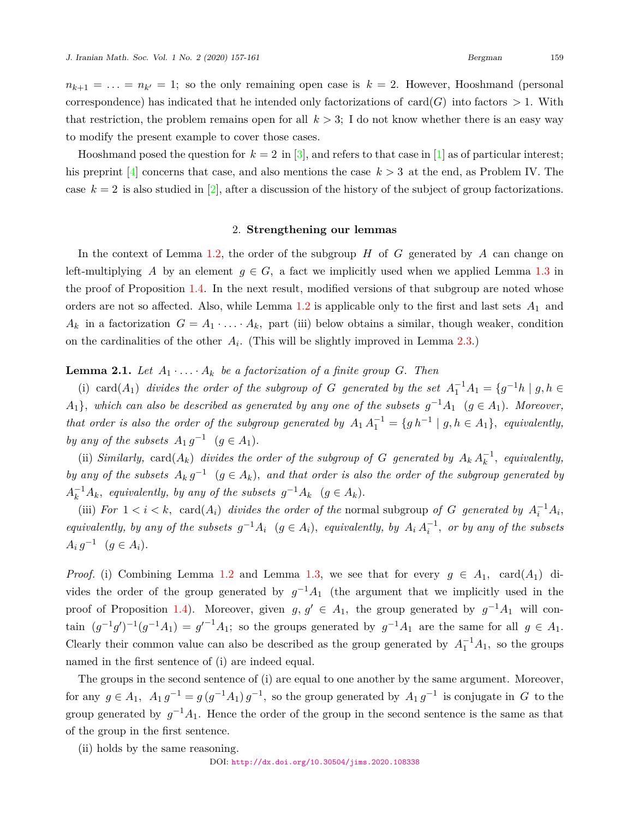$n_{k+1} = \ldots = n_{k'} = 1$ ; so the only remaining open case is  $k = 2$ . However, Hooshmand (personal correspondence) has indicated that he intended only factorizations of card $(G)$  into factors  $> 1$ . With that restriction, the problem remains open for all  $k > 3$ ; I do not know whether there is an easy way to modify the present example to cover those cases.

Hooshmand posed the question for  $k = 2$  in [\[3\]](#page-4-4), and refers to that case in [\[1\]](#page-4-2) as of particular interest; his preprint  $\boxed{4}$  $\boxed{4}$  $\boxed{4}$  concerns that case, and also mentions the case  $k > 3$  at the end, as Problem IV. The case  $k = 2$  is also studied in [\[2\]](#page-4-5), after a discussion of the history of the subject of group factorizations.

## 2. **Strengthening our lemmas**

In the context of Lemma [1.2,](#page-1-1) the order of the subgroup *H* of *G* generated by *A* can change on left-multiplying *A* by an element  $g \in G$ , a fact we implicitly used when we applied Lemma [1.3](#page-1-0) in the proof of Proposition [1.4.](#page-1-2) In the next result, modified versions of that subgroup are noted whose orders are not so affected. Also, while Lemma [1.2](#page-1-1) is applicable only to the first and last sets *A*<sup>1</sup> and  $A_k$  in a factorization  $G = A_1 \cdot \ldots \cdot A_k$ , part (iii) below obtains a similar, though weaker, condition on the cardinalities of the other  $A_i$ . (This will be slightly improved in Lemma [2.3](#page-3-0).)

<span id="page-2-0"></span>**Lemma 2.1.** Let  $A_1 \cdot \ldots \cdot A_k$  be a factorization of a finite group G. Then

(i) card( $A_1$ ) *divides the order of the subgroup of G generated by the set*  $A_1^{-1}A_1 = \{g^{-1}h \mid g, h \in G\}$ *A*<sub>1</sub>}, which can also be described as generated by any one of the subsets  $g^{-1}A_1$  ( $g \in A_1$ ). Moreover, *that order is also the order of the subgroup generated by*  $A_1 A_1^{-1} = \{gh^{-1} | g, h \in A_1\}$ *, equivalently, by any of the subsets*  $A_1 g^{-1}$   $(g \in A_1)$ *.* 

(ii) *Similarly,* card( $A_k$ ) *divides the order of the subgroup of G generated by*  $A_k A_k^{-1}$ *, equivalently, by any of the subsets*  $A_k g^{-1}$   $(g \in A_k)$ , and that order is also the order of the subgroup generated by  $A_k^{-1}A_k$ *, equivalently, by any of the subsets*  $g^{-1}A_k$  ( $g \in A_k$ )*.* 

(iii) *For*  $1 < i < k$ , card( $A_i$ ) *divides the order of the* normal subgroup *of G* generated by  $A_i^{-1}A_i$ , equivalently, by any of the subsets  $g^{-1}A_i$   $(g \in A_i)$ , equivalently, by  $A_i A_i^{-1}$ , or by any of the subsets  $A_i g^{-1}$   $(g \in A_i)$ *.* 

*Proof.* (i) Combining Lemma [1.2](#page-1-1) and Lemma [1.3,](#page-1-0) we see that for every  $g \in A_1$ , card( $A_1$ ) divides the order of the group generated by  $g^{-1}A_1$  (the argument that we implicitly used in the proof of Proposition [1.4\)](#page-1-2). Moreover, given  $g, g' \in A_1$ , the group generated by  $g^{-1}A_1$  will contain  $(g^{-1}g')^{-1}(g^{-1}A_1) = g'^{-1}A_1$ ; so the groups generated by  $g^{-1}A_1$  are the same for all  $g \in A_1$ . Clearly their common value can also be described as the group generated by  $A_1^{-1}A_1$ , so the groups named in the first sentence of (i) are indeed equal.

The groups in the second sentence of (i) are equal to one another by the same argument. Moreover, for any  $g \in A_1$ ,  $A_1 g^{-1} = g(g^{-1}A_1) g^{-1}$ , so the group generated by  $A_1 g^{-1}$  is conjugate in *G* to the group generated by  $g^{-1}A_1$ . Hence the order of the group in the second sentence is the same as that of the group in the first sentence.

(ii) holds by the same reasoning.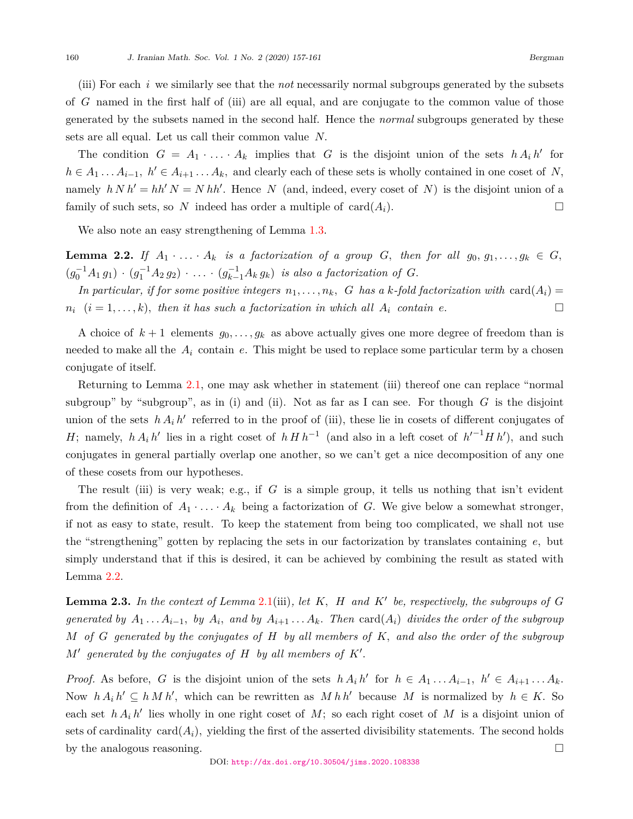(iii) For each *i* we similarly see that the *not* necessarily normal subgroups generated by the subsets of *G* named in the first half of (iii) are all equal, and are conjugate to the common value of those generated by the subsets named in the second half. Hence the *normal* subgroups generated by these sets are all equal. Let us call their common value *N.*

The condition  $G = A_1 \cdot \ldots \cdot A_k$  implies that *G* is the disjoint union of the sets  $h A_i h'$  for  $h \in A_1 \dots A_{i-1}, h' \in A_{i+1} \dots A_k$ , and clearly each of these sets is wholly contained in one coset of *N*, namely  $h N h' = h h' N = N h h'$ . Hence N (and, indeed, every coset of N) is the disjoint union of a family of such sets, so N indeed has order a multiple of  $card(A_i)$ .

We also note an easy strengthening of Lemma [1.3](#page-1-0).

<span id="page-3-1"></span>**Lemma 2.2.** If  $A_1 \cdot \ldots \cdot A_k$  is a factorization of a group *G*, then for all  $g_0, g_1, \ldots, g_k \in G$ ,  $(g_0^{-1}A_1 g_1) \cdot (g_1^{-1}A_2 g_2) \cdot \ldots \cdot (g_{k-1}^{-1}A_k g_k)$  is also a factorization of G.

In particular, if for some positive integers  $n_1, \ldots, n_k$ , G has a *k*-fold factorization with card( $A_i$ ) =  $n_i$   $(i = 1, \ldots, k)$ , then it has such a factorization in which all  $A_i$  contain  $e$ .

A choice of  $k+1$  elements  $g_0, \ldots, g_k$  as above actually gives one more degree of freedom than is needed to make all the  $A_i$  contain  $e$ . This might be used to replace some particular term by a chosen conjugate of itself.

Returning to Lemma [2.1](#page-2-0), one may ask whether in statement (iii) thereof one can replace "normal subgroup" by "subgroup", as in (i) and (ii). Not as far as I can see. For though *G* is the disjoint union of the sets  $h A_i h'$  referred to in the proof of (iii), these lie in cosets of different conjugates of *H*; namely, *h*  $A_i h'$  lies in a right coset of  $h H h^{-1}$  (and also in a left coset of  $h'^{-1} H h'$ ), and such conjugates in general partially overlap one another, so we can't get a nice decomposition of any one of these cosets from our hypotheses.

The result (iii) is very weak; e.g., if *G* is a simple group, it tells us nothing that isn't evident from the definition of  $A_1 \cdot \ldots \cdot A_k$  being a factorization of *G*. We give below a somewhat stronger, if not as easy to state, result. To keep the statement from being too complicated, we shall not use the "strengthening" gotten by replacing the sets in our factorization by translates containing *e,* but simply understand that if this is desired, it can be achieved by combining the result as stated with Lemma [2.2](#page-3-1).

<span id="page-3-0"></span>**Lemma 2.3.** *In the context of Lemma* [2.1\(](#page-2-0)iii)*, let K, H and K′ be, respectively, the subgroups of G* generated by  $A_1 \ldots A_{i-1}$ , by  $A_i$ , and by  $A_{i+1} \ldots A_k$ . Then  $card(A_i)$  divides the order of the subgroup *M of G generated by the conjugates of H by all members of K, and also the order of the subgroup*  $M'$  generated by the conjugates of  $H$  by all members of  $K'$ .

*Proof.* As before, G is the disjoint union of the sets  $h A_i h'$  for  $h \in A_1 \dots A_{i-1}$ ,  $h' \in A_{i+1} \dots A_k$ . Now  $h A_i h' \subseteq h M h'$ , which can be rewritten as  $M h h'$  because  $M$  is normalized by  $h \in K$ . So each set  $h A_i h'$  lies wholly in one right coset of  $M$ ; so each right coset of  $M$  is a disjoint union of sets of cardinality  $card(A_i)$ , yielding the first of the asserted divisibility statements. The second holds by the analogous reasoning.  $\Box$